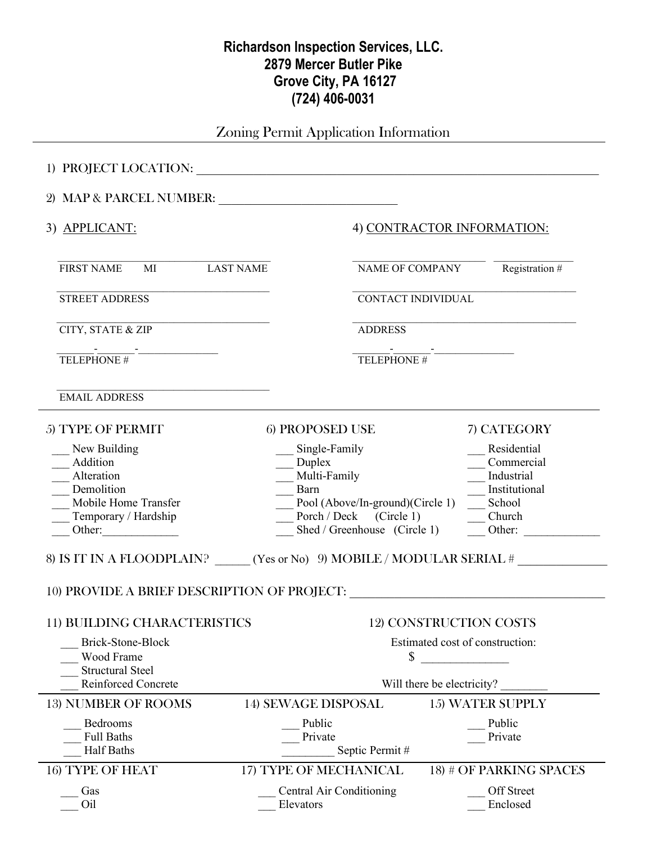## **Richardson Inspection Services, LLC. 2879 Mercer Butler Pike Grove City, PA 16127 (724) 406-0031**

Zoning Permit Application Information

| 3) APPLICANT:                                                                                                  | 4) CONTRACTOR INFORMATION:                                                                                                                                             |                                                                                                        |
|----------------------------------------------------------------------------------------------------------------|------------------------------------------------------------------------------------------------------------------------------------------------------------------------|--------------------------------------------------------------------------------------------------------|
| <b>FIRST NAME</b><br>MI LAST NAME                                                                              |                                                                                                                                                                        | Registration $#$<br>NAME OF COMPANY                                                                    |
| <b>STREET ADDRESS</b>                                                                                          |                                                                                                                                                                        | CONTACT INDIVIDUAL                                                                                     |
| CITY, STATE & ZIP                                                                                              | <b>ADDRESS</b>                                                                                                                                                         |                                                                                                        |
| $\frac{1}{\text{TELEPHONE H}}$                                                                                 | TELEPHONE #                                                                                                                                                            |                                                                                                        |
| <b>EMAIL ADDRESS</b>                                                                                           |                                                                                                                                                                        |                                                                                                        |
| 5) TYPE OF PERMIT                                                                                              | 6) PROPOSED USE                                                                                                                                                        | 7) CATEGORY                                                                                            |
| New Building<br>Addition<br>Alteration<br>Demolition<br>Mobile Home Transfer<br>Temporary / Hardship<br>Other: | Single-Family<br>$\rule{1em}{0.15mm}$ Duplex<br>__ Multi-Family<br>Barn<br>Pool (Above/In-ground)(Circle 1)<br>Porch / Deck (Circle 1)<br>Shed / Greenhouse (Circle 1) | Residential<br>Commercial<br>Industrial<br>Institutional<br>School<br>Church<br>Other: $\qquad \qquad$ |
|                                                                                                                | 8) IS IT IN A FLOODPLAIN? ______ (Yes or No) 9) MOBILE / MODULAR SERIAL #                                                                                              |                                                                                                        |
|                                                                                                                |                                                                                                                                                                        |                                                                                                        |
| 11) BUILDING CHARACTERISTICS                                                                                   |                                                                                                                                                                        | 12) CONSTRUCTION COSTS                                                                                 |
| Brick-Stone-Block<br>Wood Frame<br><b>Structural Steel</b>                                                     | Estimated cost of construction:<br>S                                                                                                                                   |                                                                                                        |
| <b>Reinforced Concrete</b>                                                                                     | Will there be electricity?                                                                                                                                             |                                                                                                        |
| <b>13) NUMBER OF ROOMS</b>                                                                                     | <b>14) SEWAGE DISPOSAL</b>                                                                                                                                             | <b>15) WATER SUPPLY</b>                                                                                |
| Bedrooms<br><b>Full Baths</b><br><b>Half Baths</b>                                                             | Public<br>Private<br>Septic Permit#                                                                                                                                    | Public<br>Private                                                                                      |
| <b>16) TYPE OF HEAT</b>                                                                                        | 17) TYPE OF MECHANICAL                                                                                                                                                 | 18) # OF PARKING SPACES                                                                                |
| Gas<br>Oil                                                                                                     | Central Air Conditioning<br>Elevators                                                                                                                                  | <b>Off Street</b><br>Enclosed                                                                          |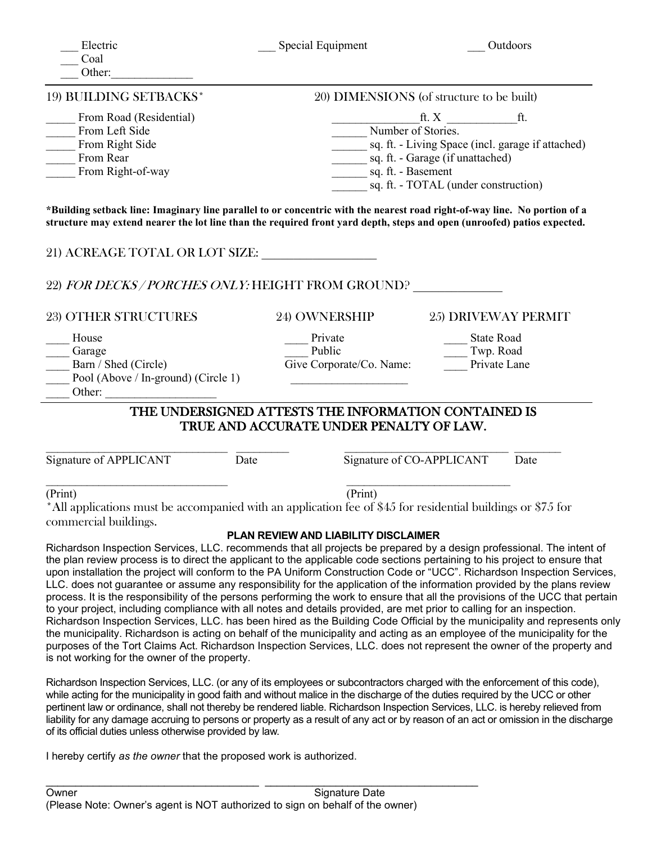| Electric<br>Coal<br>Other:                                                                                                                                                                                                                           | Special Equipment                                                                                                                                                                                     | Outdoors                                                                                                                                                                                                                                                                                                                                                                                                                                                                                                                                                                                                                                       |  |  |
|------------------------------------------------------------------------------------------------------------------------------------------------------------------------------------------------------------------------------------------------------|-------------------------------------------------------------------------------------------------------------------------------------------------------------------------------------------------------|------------------------------------------------------------------------------------------------------------------------------------------------------------------------------------------------------------------------------------------------------------------------------------------------------------------------------------------------------------------------------------------------------------------------------------------------------------------------------------------------------------------------------------------------------------------------------------------------------------------------------------------------|--|--|
| 19) BUILDING SETBACKS*                                                                                                                                                                                                                               | 20) DIMENSIONS (of structure to be built)                                                                                                                                                             |                                                                                                                                                                                                                                                                                                                                                                                                                                                                                                                                                                                                                                                |  |  |
| From Road (Residential)<br>From Left Side<br>From Right Side<br>From Rear<br>From Right-of-way                                                                                                                                                       | ft. $X$<br>ft.<br>Number of Stories.<br>sq. ft. - Living Space (incl. garage if attached)<br>_________ sq. ft. - Garage (if unattached)<br>sq. ft. - Basement<br>sq. ft. - TOTAL (under construction) |                                                                                                                                                                                                                                                                                                                                                                                                                                                                                                                                                                                                                                                |  |  |
| *Building setback line: Imaginary line parallel to or concentric with the nearest road right-of-way line. No portion of a<br>structure may extend nearer the lot line than the required front yard depth, steps and open (unroofed) patios expected. |                                                                                                                                                                                                       |                                                                                                                                                                                                                                                                                                                                                                                                                                                                                                                                                                                                                                                |  |  |
| 21) ACREAGE TOTAL OR LOT SIZE:                                                                                                                                                                                                                       |                                                                                                                                                                                                       |                                                                                                                                                                                                                                                                                                                                                                                                                                                                                                                                                                                                                                                |  |  |
| 22) FOR DECKS / PORCHES ONLY: HEIGHT FROM GROUND?                                                                                                                                                                                                    |                                                                                                                                                                                                       |                                                                                                                                                                                                                                                                                                                                                                                                                                                                                                                                                                                                                                                |  |  |
| <b>23) OTHER STRUCTURES</b>                                                                                                                                                                                                                          | <b>24) OWNERSHIP</b>                                                                                                                                                                                  | 25) DRIVEWAY PERMIT                                                                                                                                                                                                                                                                                                                                                                                                                                                                                                                                                                                                                            |  |  |
| House<br>Garage<br>Barn / Shed (Circle)<br>Pool (Above / In-ground) (Circle 1)                                                                                                                                                                       | Private<br>Public<br>Give Corporate/Co. Name:                                                                                                                                                         | <b>State Road</b><br>Twp. Road<br>Private Lane                                                                                                                                                                                                                                                                                                                                                                                                                                                                                                                                                                                                 |  |  |
| THE UNDERSIGNED ATTESTS THE INFORMATION CONTAINED IS<br>TRUE AND ACCURATE UNDER PENALTY OF LAW.                                                                                                                                                      |                                                                                                                                                                                                       |                                                                                                                                                                                                                                                                                                                                                                                                                                                                                                                                                                                                                                                |  |  |
| Signature of APPLICANT                                                                                                                                                                                                                               | Date                                                                                                                                                                                                  | Signature of CO-APPLICANT<br>Date                                                                                                                                                                                                                                                                                                                                                                                                                                                                                                                                                                                                              |  |  |
| (Print)<br>All applications must be accompanied with an application fee of \$45 for residential buildings or \$75 for<br>commercial buildings.                                                                                                       | (Print)                                                                                                                                                                                               |                                                                                                                                                                                                                                                                                                                                                                                                                                                                                                                                                                                                                                                |  |  |
|                                                                                                                                                                                                                                                      | PLAN REVIEW AND LIABILITY DISCLAIMER                                                                                                                                                                  | Richardson Inspection Services, LLC. recommends that all projects be prepared by a design professional. The intent of<br>the plan review process is to direct the applicant to the applicable code sections pertaining to his project to ensure that<br>upon installation the project will conform to the PA Uniform Construction Code or "UCC". Richardson Inspection Services,<br>LLC. does not guarantee or assume any responsibility for the application of the information provided by the plans review<br>process. It is the responsibility of the persons performing the work to ensure that all the provisions of the UCC that pertain |  |  |

to your project, including compliance with all notes and details provided, are met prior to calling for an inspection. Richardson Inspection Services, LLC. has been hired as the Building Code Official by the municipality and represents only the municipality. Richardson is acting on behalf of the municipality and acting as an employee of the municipality for the purposes of the Tort Claims Act. Richardson Inspection Services, LLC. does not represent the owner of the property and is not working for the owner of the property.

Richardson Inspection Services, LLC. (or any of its employees or subcontractors charged with the enforcement of this code), while acting for the municipality in good faith and without malice in the discharge of the duties required by the UCC or other pertinent law or ordinance, shall not thereby be rendered liable. Richardson Inspection Services, LLC. is hereby relieved from liability for any damage accruing to persons or property as a result of any act or by reason of an act or omission in the discharge of its official duties unless otherwise provided by law.

I hereby certify *as the owner* that the proposed work is authorized.